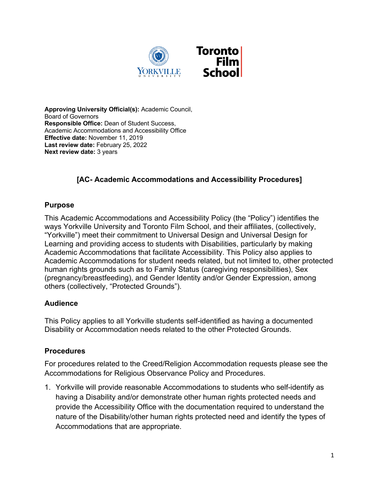

**Approving University Official(s):** Academic Council, Board of Governors **Responsible Office:** Dean of Student Success, Academic Accommodations and Accessibility Office **Effective date:** November 11, 2019 Last review date: February 25, 2022 **Next review date:** 3 years

# **[AC- Academic Accommodations and Accessibility Procedures]**

#### **Purpose**

This Academic Accommodations and Accessibility Policy (the "Policy") identifies the ways Yorkville University and Toronto Film School, and their affiliates, (collectively, "Yorkville") meet their commitment to Universal Design and Universal Design for Learning and providing access to students with Disabilities, particularly by making Academic Accommodations that facilitate Accessibility. This Policy also applies to Academic Accommodations for student needs related, but not limited to, other protected human rights grounds such as to Family Status (caregiving responsibilities), Sex (pregnancy/breastfeeding), and Gender Identity and/or Gender Expression, among others (collectively, "Protected Grounds").

### **Audience**

This Policy applies to all Yorkville students self-identified as having a documented Disability or Accommodation needs related to the other Protected Grounds.

#### **Procedures**

For procedures related to the Creed/Religion Accommodation requests please see the Accommodations for Religious Observance Policy and Procedures.

1. Yorkville will provide reasonable Accommodations to students who self-identify as having a Disability and/or demonstrate other human rights protected needs and provide the Accessibility Office with the documentation required to understand the nature of the Disability/other human rights protected need and identify the types of Accommodations that are appropriate.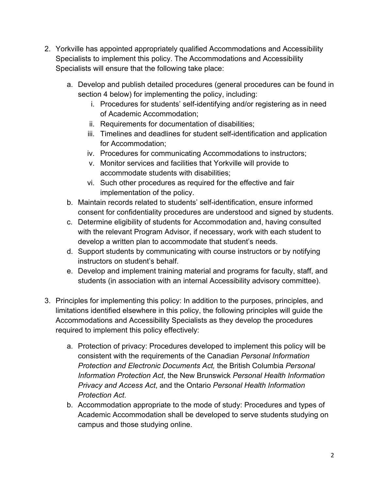- 2. Yorkville has appointed appropriately qualified Accommodations and Accessibility Specialists to implement this policy. The Accommodations and Accessibility Specialists will ensure that the following take place:
	- a. Develop and publish detailed procedures (general procedures can be found in section 4 below) for implementing the policy, including:
		- i. Procedures for students' self-identifying and/or registering as in need of Academic Accommodation;
		- ii. Requirements for documentation of disabilities;
		- iii. Timelines and deadlines for student self-identification and application for Accommodation;
		- iv. Procedures for communicating Accommodations to instructors;
		- v. Monitor services and facilities that Yorkville will provide to accommodate students with disabilities;
		- vi. Such other procedures as required for the effective and fair implementation of the policy.
	- b. Maintain records related to students' self-identification, ensure informed consent for confidentiality procedures are understood and signed by students.
	- c. Determine eligibility of students for Accommodation and, having consulted with the relevant Program Advisor, if necessary, work with each student to develop a written plan to accommodate that student's needs.
	- d. Support students by communicating with course instructors or by notifying instructors on student's behalf.
	- e. Develop and implement training material and programs for faculty, staff, and students (in association with an internal Accessibility advisory committee).
- 3. Principles for implementing this policy: In addition to the purposes, principles, and limitations identified elsewhere in this policy, the following principles will guide the Accommodations and Accessibility Specialists as they develop the procedures required to implement this policy effectively:
	- a. Protection of privacy: Procedures developed to implement this policy will be consistent with the requirements of the Canadian *Personal Information Protection and Electronic Documents Act,* the British Columbia *Personal Information Protection Act*, the New Brunswick *Personal Health Information Privacy and Access Act*, and the Ontario *Personal Health Information Protection Act*.
	- b. Accommodation appropriate to the mode of study: Procedures and types of Academic Accommodation shall be developed to serve students studying on campus and those studying online.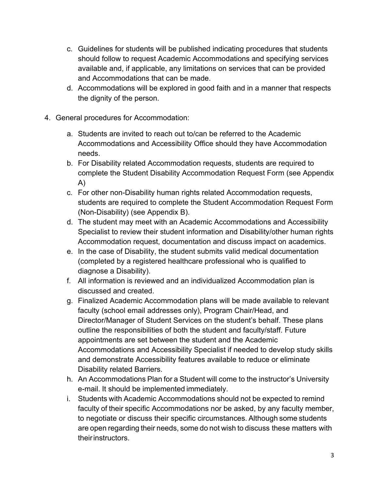- c. Guidelines for students will be published indicating procedures that students should follow to request Academic Accommodations and specifying services available and, if applicable, any limitations on services that can be provided and Accommodations that can be made.
- d. Accommodations will be explored in good faith and in a manner that respects the dignity of the person.
- 4. General procedures for Accommodation:
	- a. Students are invited to reach out to/can be referred to the Academic Accommodations and Accessibility Office should they have Accommodation needs.
	- b. For Disability related Accommodation requests, students are required to complete the Student Disability Accommodation Request Form (see Appendix A)
	- c. For other non-Disability human rights related Accommodation requests, students are required to complete the Student Accommodation Request Form (Non-Disability) (see Appendix B).
	- d. The student may meet with an Academic Accommodations and Accessibility Specialist to review their student information and Disability/other human rights Accommodation request, documentation and discuss impact on academics.
	- e. In the case of Disability, the student submits valid medical documentation (completed by a registered healthcare professional who is qualified to diagnose a Disability).
	- f. All information is reviewed and an individualized Accommodation plan is discussed and created.
	- g. Finalized Academic Accommodation plans will be made available to relevant faculty (school email addresses only), Program Chair/Head, and Director/Manager of Student Services on the student's behalf. These plans outline the responsibilities of both the student and faculty/staff. Future appointments are set between the student and the Academic Accommodations and Accessibility Specialist if needed to develop study skills and demonstrate Accessibility features available to reduce or eliminate Disability related Barriers.
	- h. An Accommodations Plan for a Student will come to the instructor's University e-mail. It should be implemented immediately.
	- i. Students with Academic Accommodations should not be expected to remind faculty of their specific Accommodations nor be asked, by any faculty member, to negotiate or discuss their specific circumstances. Although some students are open regarding their needs, some do not wish to discuss these matters with theirinstructors.